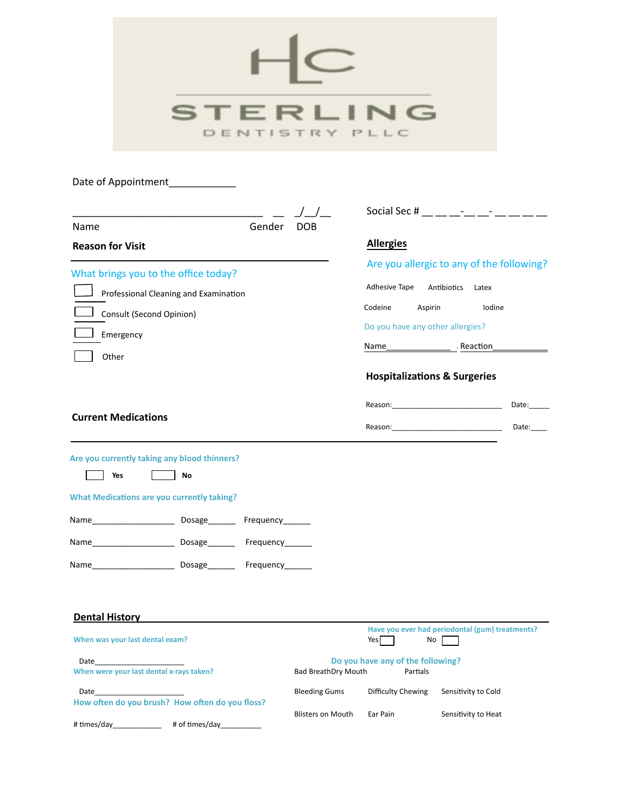| ER<br>DENTISTRY PLLC                                                                                                                                                                                                                                                                                                                                                                                                                                    |                                                    |                                                                                                                                                                                                                                                                                                                                                                                                                                                                  |                                                                                           |  |
|---------------------------------------------------------------------------------------------------------------------------------------------------------------------------------------------------------------------------------------------------------------------------------------------------------------------------------------------------------------------------------------------------------------------------------------------------------|----------------------------------------------------|------------------------------------------------------------------------------------------------------------------------------------------------------------------------------------------------------------------------------------------------------------------------------------------------------------------------------------------------------------------------------------------------------------------------------------------------------------------|-------------------------------------------------------------------------------------------|--|
| Gender<br>Name<br><b>Reason for Visit</b>                                                                                                                                                                                                                                                                                                                                                                                                               | <b>DOB</b>                                         | Social Sec # Fig. 2.1 Fig. 2.1 Fig. 2.1 Fig. 2.1 Fig. 2.1 Fig. 2.1 Fig. 2.1 Fig. 2.1 Fig. 2.1 Fig. 2.1 Fig. 2.1 Fig. 2.1 Fig. 2.1 Fig. 2.1 Fig. 2.1 Fig. 2.1 Fig. 2.1 Fig. 2.1 Fig. 2.1 Fig. 2.1 Fig. 2.1 Fig. 2.1 Fig. 2.1 Fi<br><b>Allergies</b>                                                                                                                                                                                                               |                                                                                           |  |
| What brings you to the office today?<br>Professional Cleaning and Examination<br>Consult (Second Opinion)<br>Emergency<br>Other                                                                                                                                                                                                                                                                                                                         |                                                    | Adhesive Tape<br>Codeine<br>Aspirin<br>Do you have any other allergies?<br>Name<br><b>Hospitalizations &amp; Surgeries</b>                                                                                                                                                                                                                                                                                                                                       | Are you allergic to any of the following?<br>Antibiotics<br>Latex<br>Iodine<br>- Reaction |  |
| <b>Current Medications</b>                                                                                                                                                                                                                                                                                                                                                                                                                              |                                                    | Reason: New York State State State State State State State State State State State State State State State State State State State State State State State State State State State State State State State State State State S<br>Reason: the contract of the contract of the contract of the contract of the contract of the contract of the contract of the contract of the contract of the contract of the contract of the contract of the contract of the co | Date:<br>Date:                                                                            |  |
| Are you currently taking any blood thinners?<br>Yes<br>No<br><b>What Medications are you currently taking?</b>                                                                                                                                                                                                                                                                                                                                          |                                                    |                                                                                                                                                                                                                                                                                                                                                                                                                                                                  |                                                                                           |  |
| <b>Dental History</b><br>When was your last dental exam?<br>Date and the state of the state of the state of the state of the state of the state of the state of the state<br>When were your last dental x-rays taken?<br>Date and the state of the state of the state of the state of the state of the state of the state of the state of the state of the state of the state of the state of the state of the state of the state of the state of the s | <b>Bad BreathDry Mouth</b><br><b>Bleeding Gums</b> | Yes<br>No<br>Do you have any of the following?<br>Partials<br>Difficulty Chewing                                                                                                                                                                                                                                                                                                                                                                                 | Have you ever had periodontal (gum) treatments?<br>Sensitivity to Cold                    |  |
| How often do you brush? How often do you floss?                                                                                                                                                                                                                                                                                                                                                                                                         | <b>Blisters on Mouth</b>                           | Ear Pain                                                                                                                                                                                                                                                                                                                                                                                                                                                         | Sensitivity to Heat                                                                       |  |

# Imes/day\_\_\_\_\_\_\_\_\_\_\_\_ # of Imes/day\_\_\_\_\_\_\_\_\_\_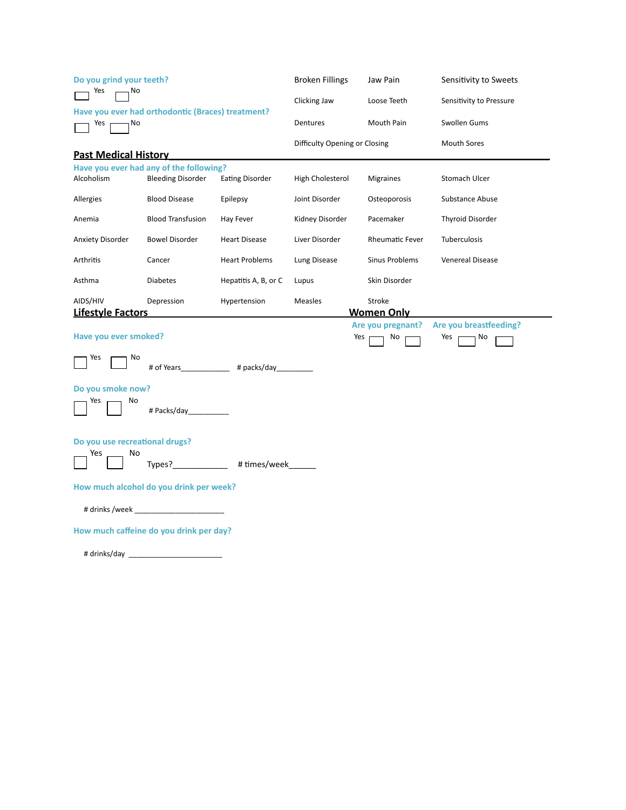| Do you grind your teeth?                                           |                                                                     |                        | <b>Broken Fillings</b>        | Jaw Pain                    | Sensitivity to Sweets   |
|--------------------------------------------------------------------|---------------------------------------------------------------------|------------------------|-------------------------------|-----------------------------|-------------------------|
| Yes<br>No                                                          |                                                                     |                        | Clicking Jaw                  | Loose Teeth                 | Sensitivity to Pressure |
| Have you ever had orthodontic (Braces) treatment?<br>Yes r<br>- No |                                                                     | Dentures               | Mouth Pain                    | Swollen Gums                |                         |
|                                                                    |                                                                     |                        | Difficulty Opening or Closing |                             | <b>Mouth Sores</b>      |
| <b>Past Medical History</b>                                        |                                                                     |                        |                               |                             |                         |
| Alcoholism                                                         | Have you ever had any of the following?<br><b>Bleeding Disorder</b> | <b>Eating Disorder</b> | High Cholesterol              | Migraines                   | Stomach Ulcer           |
|                                                                    |                                                                     |                        |                               |                             |                         |
| Allergies                                                          | <b>Blood Disease</b>                                                | Epilepsy               | Joint Disorder                | Osteoporosis                | Substance Abuse         |
| Anemia                                                             | <b>Blood Transfusion</b>                                            | Hay Fever              | Kidney Disorder               | Pacemaker                   | <b>Thyroid Disorder</b> |
| Anxiety Disorder                                                   | <b>Bowel Disorder</b>                                               | <b>Heart Disease</b>   | Liver Disorder                | Rheumatic Fever             | Tuberculosis            |
| Arthritis                                                          | Cancer                                                              | <b>Heart Problems</b>  | Lung Disease                  | Sinus Problems              | <b>Venereal Disease</b> |
| Asthma                                                             | <b>Diabetes</b>                                                     | Hepatitis A, B, or C   | Lupus                         | Skin Disorder               |                         |
| AIDS/HIV                                                           | Depression                                                          | Hypertension           | Measles                       | Stroke                      |                         |
| <b>Lifestyle Factors</b>                                           |                                                                     |                        |                               | <b>Women Only</b>           |                         |
|                                                                    |                                                                     |                        |                               |                             |                         |
|                                                                    |                                                                     |                        |                               | Are you pregnant?           | Are you breastfeeding?  |
| Have you ever smoked?                                              |                                                                     |                        | Yes r                         | $\overline{\phantom{a}}$ No | Yes r<br>n No           |
| Yes<br>No                                                          |                                                                     | # of Years # packs/day |                               |                             |                         |
| Do you smoke now?                                                  |                                                                     |                        |                               |                             |                         |
| Yes<br>No                                                          | # Packs/day____________                                             |                        |                               |                             |                         |
| Do you use recreational drugs?                                     |                                                                     |                        |                               |                             |                         |
| No<br>Yes                                                          |                                                                     |                        |                               |                             |                         |
|                                                                    |                                                                     | Types? #times/week     |                               |                             |                         |
|                                                                    | How much alcohol do you drink per week?                             |                        |                               |                             |                         |
|                                                                    | # drinks /week                                                      |                        |                               |                             |                         |
|                                                                    | How much caffeine do you drink per day?                             |                        |                               |                             |                         |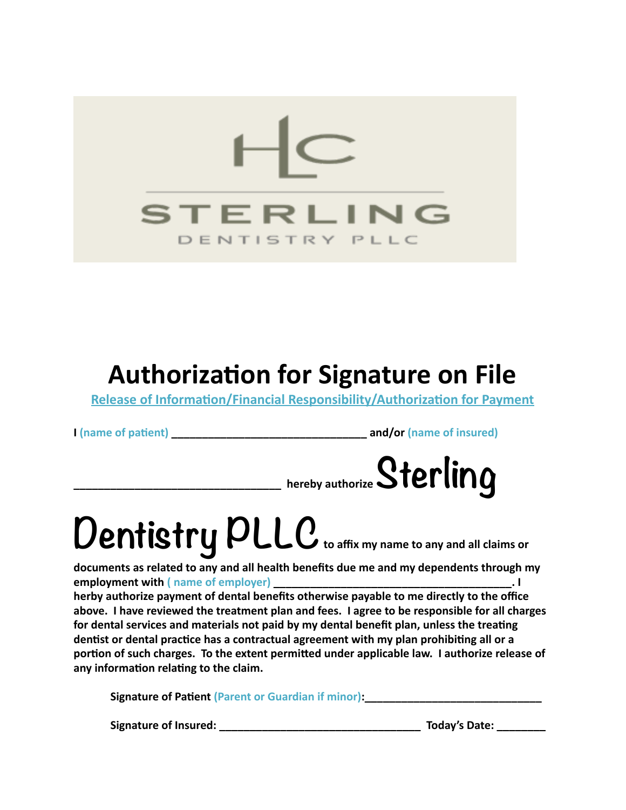

### **Authorization for Signature on File**

**Release of Information/Financial Responsibility/Authorization for Payment** 

**I (name of pa5ent) \_\_\_\_\_\_\_\_\_\_\_\_\_\_\_\_\_\_\_\_\_\_\_\_\_\_\_\_\_\_\_\_ and/or (name of insured)** 



# Dentistry PLLC to affix my name to any and all claims or

documents as related to any and all health benefits due me and my dependents through my **employment with (** name of employer) **and the set of the set of employer**  $\blacksquare$ herby authorize payment of dental benefits otherwise payable to me directly to the office above. I have reviewed the treatment plan and fees. I agree to be responsible for all charges for dental services and materials not paid by my dental benefit plan, unless the treating dentist or dental practice has a contractual agreement with my plan prohibiting all or a portion of such charges. To the extent permitted under applicable law. I authorize release of any information relating to the claim.

**Signature of Patient (Parent or Guardian if minor):** 

**Signature of Insured: \_\_\_\_\_\_\_\_\_\_\_\_\_\_\_\_\_\_\_\_\_\_\_\_\_\_\_\_\_\_\_\_\_ Today's Date: \_\_\_\_\_\_\_\_**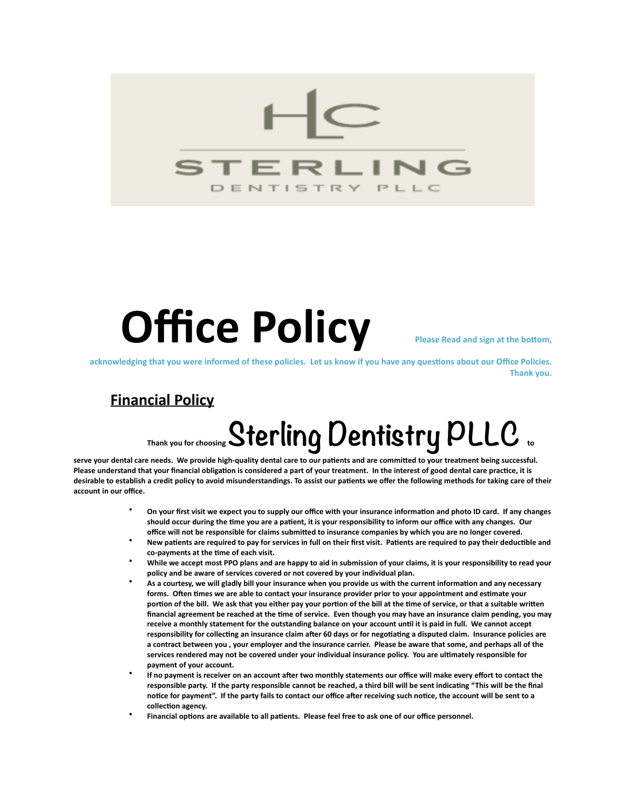

## **Office Policy** Pease Read and sign at the bottom,

acknowledging that you were informed of these policies. Let us know if you have any questions about our Office Policies. **Thank you.** 

### **Financial Policy**

## **Thank you for choosing Sterling Dentistry PLLC to**

serve your dental care needs. We provide high-quality dental care to our patients and are committed to your treatment being successful. Please understand that your financial obligation is considered a part of your treatment. In the interest of good dental care practice, it is desirable to establish a credit policy to avoid misunderstandings. To assist our patients we offer the following methods for taking care of their account in our office.

- On your first visit we expect you to supply our office with your insurance information and photo ID card. If any changes should occur during the time you are a patient, it is your responsibility to inform our office with any changes. Our office will not be responsible for claims submitted to insurance companies by which you are no longer covered.
- New patients are required to pay for services in full on their first visit. Patients are required to pay their deductible and co-payments at the time of each visit.
- While we accept most PPO plans and are happy to aid in submission of your claims, it is your responsibility to read your policy and be aware of services covered or not covered by your individual plan.
- As a courtesy, we will gladly bill your insurance when you provide us with the current information and any necessary forms. Often times we are able to contact your insurance provider prior to your appointment and estimate your portion of the bill. We ask that you either pay your portion of the bill at the time of service, or that a suitable written financial agreement be reached at the time of service. Even though you may have an insurance claim pending, you may receive a monthly statement for the outstanding balance on your account until it is paid in full. We cannot accept responsibility for collecting an insurance claim after 60 days or for negotiating a disputed claim. Insurance policies are a contract between you, your employer and the insurance carrier. Please be aware that some, and perhaps all of the services rendered may not be covered under your individual insurance policy. You are ultimately responsible for payment of your account.
- If no payment is receiver on an account after two monthly statements our office will make every effort to contact the responsible party. If the party responsible cannot be reached, a third bill will be sent indicating "This will be the final notice for payment". If the party fails to contact our office after receiving such notice, the account will be sent to a collection agency.
- Financial options are available to all patients. Please feel free to ask one of our office personnel.